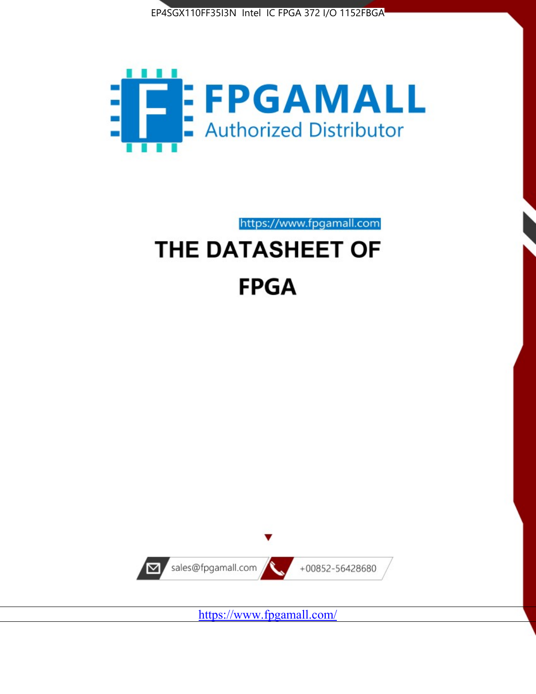



https://www.fpgamall.com

# THE DATASHEET OF **FPGA**



<https://www.fpgamall.com/>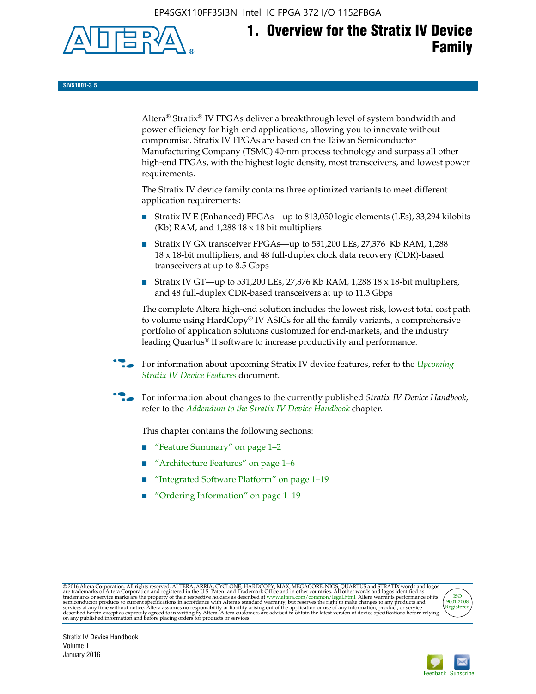EP4SGX110FF35I3N Intel IC FPGA 372 I/O 1152FBGA



# **1. Overview for the Stratix IV Device Family**

**SIV51001-3.5**

Altera® Stratix® IV FPGAs deliver a breakthrough level of system bandwidth and power efficiency for high-end applications, allowing you to innovate without compromise. Stratix IV FPGAs are based on the Taiwan Semiconductor Manufacturing Company (TSMC) 40-nm process technology and surpass all other high-end FPGAs, with the highest logic density, most transceivers, and lowest power requirements.

The Stratix IV device family contains three optimized variants to meet different application requirements:

- Stratix IV E (Enhanced) FPGAs—up to 813,050 logic elements (LEs), 33,294 kilobits (Kb) RAM, and 1,288 18 x 18 bit multipliers
- Stratix IV GX transceiver FPGAs—up to 531,200 LEs, 27,376 Kb RAM, 1,288 18 x 18-bit multipliers, and 48 full-duplex clock data recovery (CDR)-based transceivers at up to 8.5 Gbps
- Stratix IV GT—up to 531,200 LEs, 27,376 Kb RAM, 1,288 18 x 18-bit multipliers, and 48 full-duplex CDR-based transceivers at up to 11.3 Gbps

The complete Altera high-end solution includes the lowest risk, lowest total cost path to volume using HardCopy® IV ASICs for all the family variants, a comprehensive portfolio of application solutions customized for end-markets, and the industry leading Quartus® II software to increase productivity and performance.

For information about upcoming Stratix IV device features, refer to the *Upcoming [Stratix IV Device Features](http://www.altera.com/literature/hb/stratix-iv/uf01001.pdf?GSA_pos=2&WT.oss_r=1&WT.oss=upcoming)* document.

f For information about changes to the currently published *Stratix IV Device Handbook*, refer to the *[Addendum to the Stratix IV Device Handbook](http://www.altera.com/literature/hb/stratix-iv/stx4_siv54002.pdf)* chapter.

This chapter contains the following sections:

- "Feature Summary" on page 1–2
- "Architecture Features" on page 1–6
- "Integrated Software Platform" on page 1–19
- "Ordering Information" on page 1–19

@2016 Altera Corporation. All rights reserved. ALTERA, ARRIA, CYCLONE, HARDCOPY, MAX, MEGACORE, NIOS, QUARTUS and STRATIX words and logos are trademarks of Altera Corporation and registered in the U.S. Patent and Trademark



Stratix IV Device Handbook Volume 1 January 2016

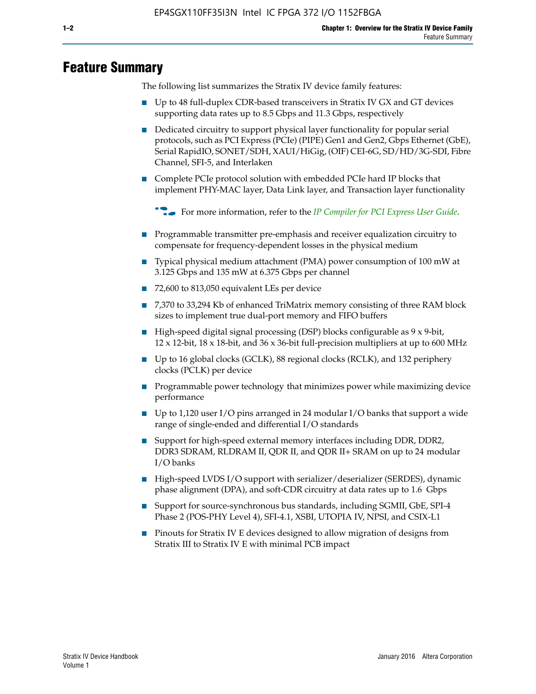# **Feature Summary**

The following list summarizes the Stratix IV device family features:

- Up to 48 full-duplex CDR-based transceivers in Stratix IV GX and GT devices supporting data rates up to 8.5 Gbps and 11.3 Gbps, respectively
- Dedicated circuitry to support physical layer functionality for popular serial protocols, such as PCI Express (PCIe) (PIPE) Gen1 and Gen2, Gbps Ethernet (GbE), Serial RapidIO, SONET/SDH, XAUI/HiGig, (OIF) CEI-6G, SD/HD/3G-SDI, Fibre Channel, SFI-5, and Interlaken
- Complete PCIe protocol solution with embedded PCIe hard IP blocks that implement PHY-MAC layer, Data Link layer, and Transaction layer functionality

**For more information, refer to the** *[IP Compiler for PCI Express User Guide](http://www.altera.com/literature/ug/ug_pci_express.pdf)***.** 

- Programmable transmitter pre-emphasis and receiver equalization circuitry to compensate for frequency-dependent losses in the physical medium
- Typical physical medium attachment (PMA) power consumption of 100 mW at 3.125 Gbps and 135 mW at 6.375 Gbps per channel
- 72,600 to 813,050 equivalent LEs per device
- 7,370 to 33,294 Kb of enhanced TriMatrix memory consisting of three RAM block sizes to implement true dual-port memory and FIFO buffers
- High-speed digital signal processing (DSP) blocks configurable as 9 x 9-bit,  $12 \times 12$ -bit,  $18 \times 18$ -bit, and  $36 \times 36$ -bit full-precision multipliers at up to 600 MHz
- Up to 16 global clocks (GCLK), 88 regional clocks (RCLK), and 132 periphery clocks (PCLK) per device
- Programmable power technology that minimizes power while maximizing device performance
- Up to 1,120 user I/O pins arranged in 24 modular I/O banks that support a wide range of single-ended and differential I/O standards
- Support for high-speed external memory interfaces including DDR, DDR2, DDR3 SDRAM, RLDRAM II, QDR II, and QDR II+ SRAM on up to 24 modular I/O banks
- High-speed LVDS I/O support with serializer/deserializer (SERDES), dynamic phase alignment (DPA), and soft-CDR circuitry at data rates up to 1.6 Gbps
- Support for source-synchronous bus standards, including SGMII, GbE, SPI-4 Phase 2 (POS-PHY Level 4), SFI-4.1, XSBI, UTOPIA IV, NPSI, and CSIX-L1
- Pinouts for Stratix IV E devices designed to allow migration of designs from Stratix III to Stratix IV E with minimal PCB impact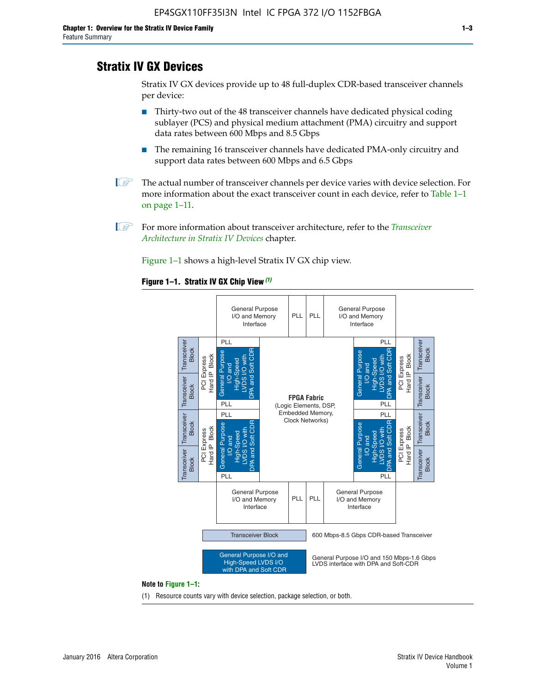# **Stratix IV GX Devices**

Stratix IV GX devices provide up to 48 full-duplex CDR-based transceiver channels per device:

- Thirty-two out of the 48 transceiver channels have dedicated physical coding sublayer (PCS) and physical medium attachment (PMA) circuitry and support data rates between 600 Mbps and 8.5 Gbps
- The remaining 16 transceiver channels have dedicated PMA-only circuitry and support data rates between 600 Mbps and 6.5 Gbps
- **1 The actual number of transceiver channels per device varies with device selection. For** more information about the exact transceiver count in each device, refer to Table 1–1 on page 1–11.
- 1 For more information about transceiver architecture, refer to the *[Transceiver](http://www.altera.com/literature/hb/stratix-iv/stx4_siv52001.pdf)  [Architecture in Stratix IV Devices](http://www.altera.com/literature/hb/stratix-iv/stx4_siv52001.pdf)* chapter.

Figure 1–1 shows a high-level Stratix IV GX chip view.

#### **Figure 1–1. Stratix IV GX Chip View** *(1)*



#### **Note to Figure 1–1:**

(1) Resource counts vary with device selection, package selection, or both.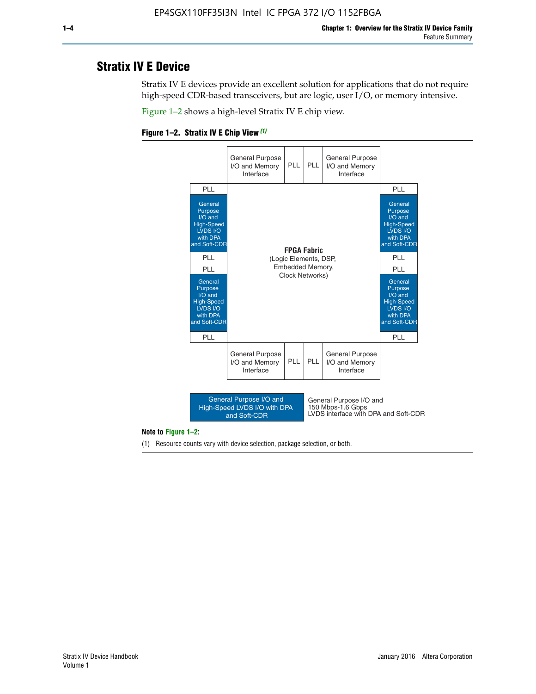# **Stratix IV E Device**

Stratix IV E devices provide an excellent solution for applications that do not require high-speed CDR-based transceivers, but are logic, user I/O, or memory intensive.

Figure 1–2 shows a high-level Stratix IV E chip view.





#### **Note to Figure 1–2:**

(1) Resource counts vary with device selection, package selection, or both.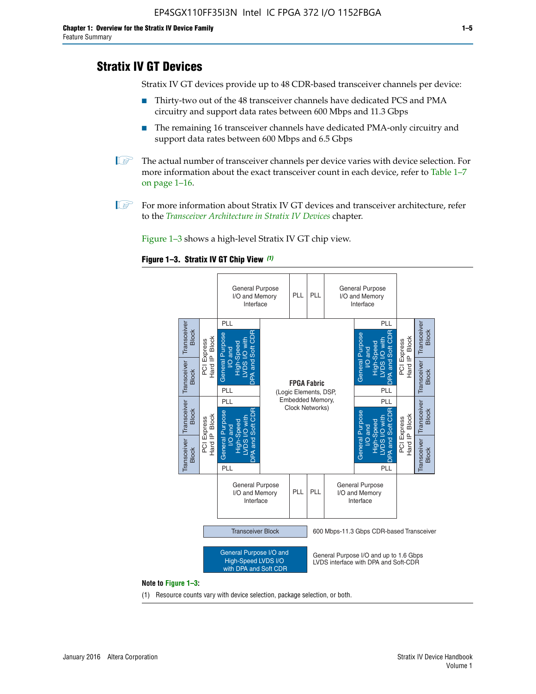# **Stratix IV GT Devices**

Stratix IV GT devices provide up to 48 CDR-based transceiver channels per device:

- Thirty-two out of the 48 transceiver channels have dedicated PCS and PMA circuitry and support data rates between 600 Mbps and 11.3 Gbps
- The remaining 16 transceiver channels have dedicated PMA-only circuitry and support data rates between 600 Mbps and 6.5 Gbps
- **1** The actual number of transceiver channels per device varies with device selection. For more information about the exact transceiver count in each device, refer to Table 1–7 on page 1–16.
- $\mathbb{I}$  For more information about Stratix IV GT devices and transceiver architecture, refer to the *[Transceiver Architecture in Stratix IV Devices](http://www.altera.com/literature/hb/stratix-iv/stx4_siv52001.pdf)* chapter.

Figure 1–3 shows a high-level Stratix IV GT chip view.

### **Figure 1–3. Stratix IV GT Chip View** *(1)*



(1) Resource counts vary with device selection, package selection, or both.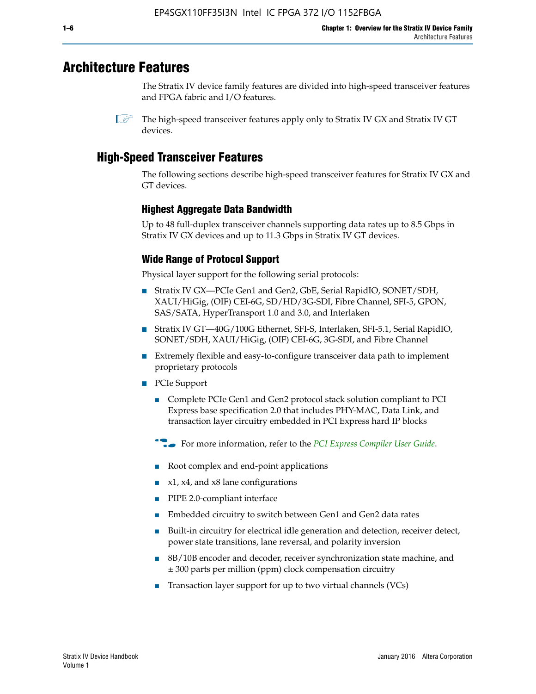# **Architecture Features**

The Stratix IV device family features are divided into high-speed transceiver features and FPGA fabric and I/O features.

 $\mathbb{I}$  The high-speed transceiver features apply only to Stratix IV GX and Stratix IV GT devices.

# **High-Speed Transceiver Features**

The following sections describe high-speed transceiver features for Stratix IV GX and GT devices.

# **Highest Aggregate Data Bandwidth**

Up to 48 full-duplex transceiver channels supporting data rates up to 8.5 Gbps in Stratix IV GX devices and up to 11.3 Gbps in Stratix IV GT devices.

# **Wide Range of Protocol Support**

Physical layer support for the following serial protocols:

- Stratix IV GX—PCIe Gen1 and Gen2, GbE, Serial RapidIO, SONET/SDH, XAUI/HiGig, (OIF) CEI-6G, SD/HD/3G-SDI, Fibre Channel, SFI-5, GPON, SAS/SATA, HyperTransport 1.0 and 3.0, and Interlaken
- Stratix IV GT—40G/100G Ethernet, SFI-S, Interlaken, SFI-5.1, Serial RapidIO, SONET/SDH, XAUI/HiGig, (OIF) CEI-6G, 3G-SDI, and Fibre Channel
- Extremely flexible and easy-to-configure transceiver data path to implement proprietary protocols
- PCIe Support
	- Complete PCIe Gen1 and Gen2 protocol stack solution compliant to PCI Express base specification 2.0 that includes PHY-MAC, Data Link, and transaction layer circuitry embedded in PCI Express hard IP blocks
	- **For more information, refer to the [PCI Express Compiler User Guide](http://www.altera.com/literature/ug/ug_pci_express.pdf).**
	- Root complex and end-point applications
	- $x1, x4,$  and  $x8$  lane configurations
	- PIPE 2.0-compliant interface
	- Embedded circuitry to switch between Gen1 and Gen2 data rates
	- Built-in circuitry for electrical idle generation and detection, receiver detect, power state transitions, lane reversal, and polarity inversion
	- 8B/10B encoder and decoder, receiver synchronization state machine, and ± 300 parts per million (ppm) clock compensation circuitry
	- Transaction layer support for up to two virtual channels (VCs)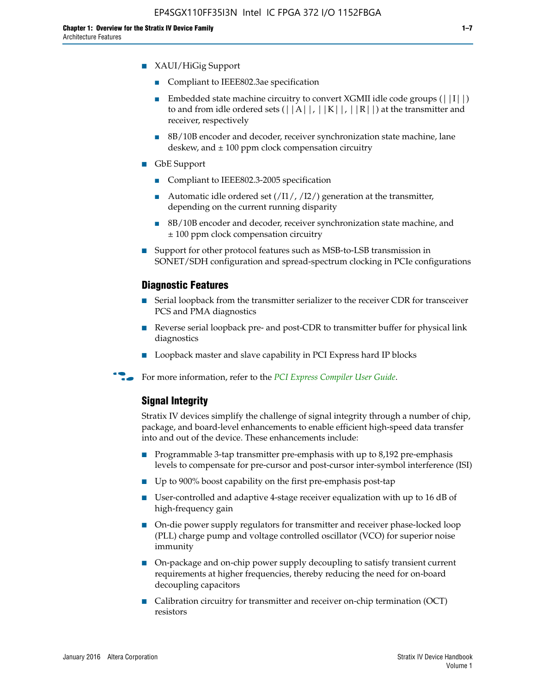- XAUI/HiGig Support
	- Compliant to IEEE802.3ae specification
	- **■** Embedded state machine circuitry to convert XGMII idle code groups  $(|11|)$ to and from idle ordered sets  $(|A|, |K|, |R|)$  at the transmitter and receiver, respectively
	- 8B/10B encoder and decoder, receiver synchronization state machine, lane deskew, and  $\pm 100$  ppm clock compensation circuitry
- GbE Support
	- Compliant to IEEE802.3-2005 specification
	- Automatic idle ordered set  $(111/112/1)$  generation at the transmitter, depending on the current running disparity
	- 8B/10B encoder and decoder, receiver synchronization state machine, and ± 100 ppm clock compensation circuitry
- Support for other protocol features such as MSB-to-LSB transmission in SONET/SDH configuration and spread-spectrum clocking in PCIe configurations

### **Diagnostic Features**

- Serial loopback from the transmitter serializer to the receiver CDR for transceiver PCS and PMA diagnostics
- Reverse serial loopback pre- and post-CDR to transmitter buffer for physical link diagnostics
- Loopback master and slave capability in PCI Express hard IP blocks
- **For more information, refer to the** *[PCI Express Compiler User Guide](http://www.altera.com/literature/ug/ug_pci_express.pdf)***.**

## **Signal Integrity**

Stratix IV devices simplify the challenge of signal integrity through a number of chip, package, and board-level enhancements to enable efficient high-speed data transfer into and out of the device. These enhancements include:

- Programmable 3-tap transmitter pre-emphasis with up to 8,192 pre-emphasis levels to compensate for pre-cursor and post-cursor inter-symbol interference (ISI)
- Up to 900% boost capability on the first pre-emphasis post-tap
- User-controlled and adaptive 4-stage receiver equalization with up to 16 dB of high-frequency gain
- On-die power supply regulators for transmitter and receiver phase-locked loop (PLL) charge pump and voltage controlled oscillator (VCO) for superior noise immunity
- On-package and on-chip power supply decoupling to satisfy transient current requirements at higher frequencies, thereby reducing the need for on-board decoupling capacitors
- Calibration circuitry for transmitter and receiver on-chip termination (OCT) resistors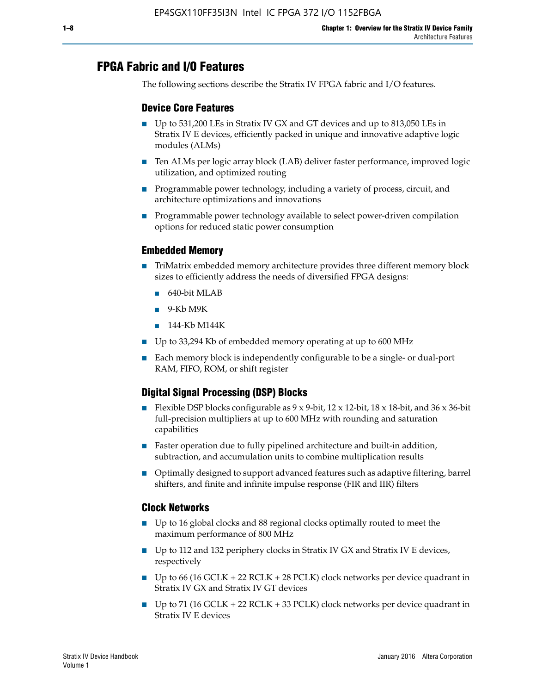# **FPGA Fabric and I/O Features**

The following sections describe the Stratix IV FPGA fabric and I/O features.

# **Device Core Features**

- Up to 531,200 LEs in Stratix IV GX and GT devices and up to 813,050 LEs in Stratix IV E devices, efficiently packed in unique and innovative adaptive logic modules (ALMs)
- Ten ALMs per logic array block (LAB) deliver faster performance, improved logic utilization, and optimized routing
- Programmable power technology, including a variety of process, circuit, and architecture optimizations and innovations
- Programmable power technology available to select power-driven compilation options for reduced static power consumption

## **Embedded Memory**

- TriMatrix embedded memory architecture provides three different memory block sizes to efficiently address the needs of diversified FPGA designs:
	- 640-bit MLAB
	- 9-Kb M9K
	- 144-Kb M144K
- Up to 33,294 Kb of embedded memory operating at up to 600 MHz
- Each memory block is independently configurable to be a single- or dual-port RAM, FIFO, ROM, or shift register

# **Digital Signal Processing (DSP) Blocks**

- Flexible DSP blocks configurable as  $9 \times 9$ -bit,  $12 \times 12$ -bit,  $18 \times 18$ -bit, and  $36 \times 36$ -bit full-precision multipliers at up to 600 MHz with rounding and saturation capabilities
- Faster operation due to fully pipelined architecture and built-in addition, subtraction, and accumulation units to combine multiplication results
- Optimally designed to support advanced features such as adaptive filtering, barrel shifters, and finite and infinite impulse response (FIR and IIR) filters

## **Clock Networks**

- Up to 16 global clocks and 88 regional clocks optimally routed to meet the maximum performance of 800 MHz
- Up to 112 and 132 periphery clocks in Stratix IV GX and Stratix IV E devices, respectively
- Up to 66 (16 GCLK + 22 RCLK + 28 PCLK) clock networks per device quadrant in Stratix IV GX and Stratix IV GT devices
- Up to 71 (16 GCLK + 22 RCLK + 33 PCLK) clock networks per device quadrant in Stratix IV E devices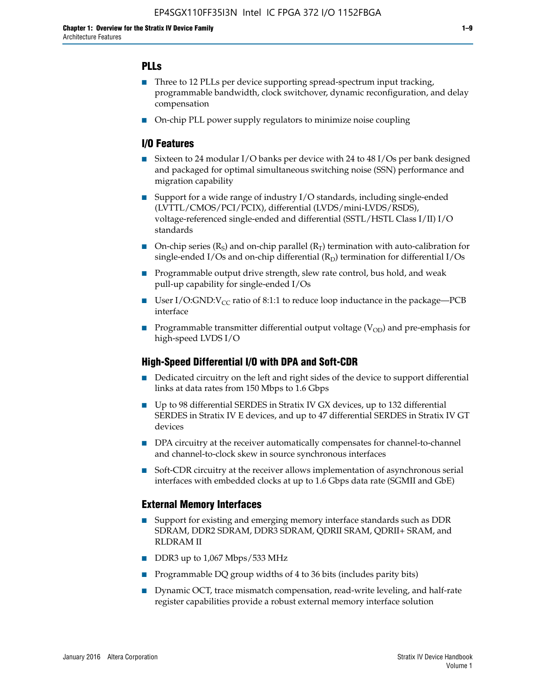# **PLLs**

- Three to 12 PLLs per device supporting spread-spectrum input tracking, programmable bandwidth, clock switchover, dynamic reconfiguration, and delay compensation
- On-chip PLL power supply regulators to minimize noise coupling

# **I/O Features**

- Sixteen to 24 modular I/O banks per device with 24 to 48 I/Os per bank designed and packaged for optimal simultaneous switching noise (SSN) performance and migration capability
- Support for a wide range of industry I/O standards, including single-ended (LVTTL/CMOS/PCI/PCIX), differential (LVDS/mini-LVDS/RSDS), voltage-referenced single-ended and differential (SSTL/HSTL Class I/II) I/O standards
- **O**n-chip series  $(R_S)$  and on-chip parallel  $(R_T)$  termination with auto-calibration for single-ended I/Os and on-chip differential  $(R_D)$  termination for differential I/Os
- Programmable output drive strength, slew rate control, bus hold, and weak pull-up capability for single-ended I/Os
- User I/O:GND: $V_{CC}$  ratio of 8:1:1 to reduce loop inductance in the package—PCB interface
- **■** Programmable transmitter differential output voltage ( $V_{OD}$ ) and pre-emphasis for high-speed LVDS I/O

## **High-Speed Differential I/O with DPA and Soft-CDR**

- Dedicated circuitry on the left and right sides of the device to support differential links at data rates from 150 Mbps to 1.6 Gbps
- Up to 98 differential SERDES in Stratix IV GX devices, up to 132 differential SERDES in Stratix IV E devices, and up to 47 differential SERDES in Stratix IV GT devices
- DPA circuitry at the receiver automatically compensates for channel-to-channel and channel-to-clock skew in source synchronous interfaces
- Soft-CDR circuitry at the receiver allows implementation of asynchronous serial interfaces with embedded clocks at up to 1.6 Gbps data rate (SGMII and GbE)

## **External Memory Interfaces**

- Support for existing and emerging memory interface standards such as DDR SDRAM, DDR2 SDRAM, DDR3 SDRAM, QDRII SRAM, QDRII+ SRAM, and RLDRAM II
- DDR3 up to 1,067 Mbps/533 MHz
- Programmable DQ group widths of 4 to 36 bits (includes parity bits)
- Dynamic OCT, trace mismatch compensation, read-write leveling, and half-rate register capabilities provide a robust external memory interface solution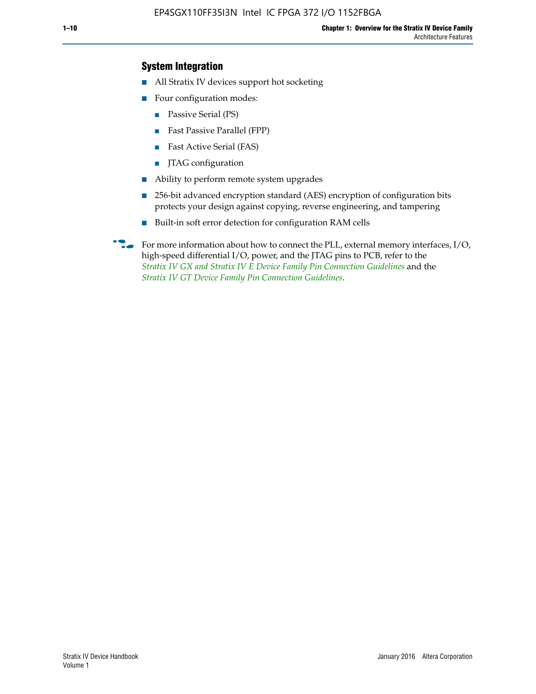# **System Integration**

- All Stratix IV devices support hot socketing
- Four configuration modes:
	- Passive Serial (PS)
	- Fast Passive Parallel (FPP)
	- Fast Active Serial (FAS)
	- JTAG configuration
- Ability to perform remote system upgrades
- 256-bit advanced encryption standard (AES) encryption of configuration bits protects your design against copying, reverse engineering, and tampering
- Built-in soft error detection for configuration RAM cells
- For more information about how to connect the PLL, external memory interfaces,  $I/O$ , high-speed differential I/O, power, and the JTAG pins to PCB, refer to the *[Stratix IV GX and Stratix IV E Device Family Pin Connection Guidelines](http://www.altera.com/literature/dp/stratix4/PCG-01005.pdf)* and the *[Stratix IV GT Device Family Pin Connection Guidelines](http://www.altera.com/literature/dp/stratix4/PCG-01006.pdf)*.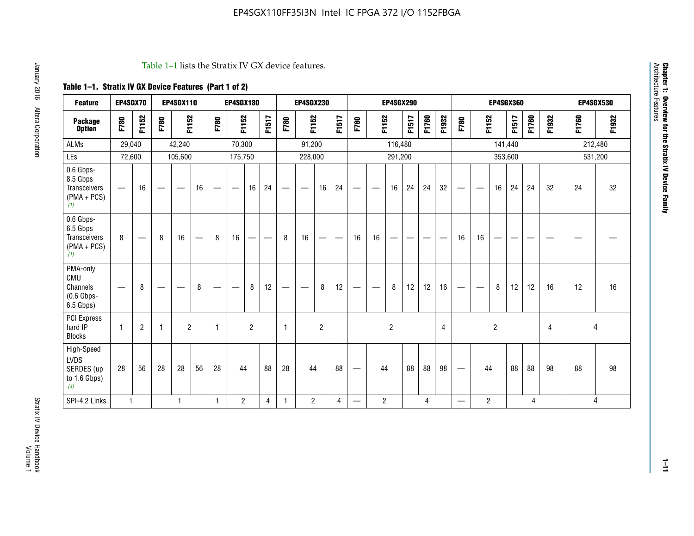#### Table 1–1 lists the Stratix IV GX device features.

# **Table 1–1. Stratix IV GX Device Features (Part 1 of 2)**

| <b>Feature</b>                                                | EP4SGX70                       |                |                   | <b>EP4SGX110</b>  |                          |                                | <b>EP4SGX180</b>               |                |       |              | <b>EP4SGX230</b>              |                |                               |                                |                | <b>EP4SGX290</b> |       |       |       |                          |                   |                | <b>EP4SGX360</b> |       |       |       | <b>EP4SGX530</b> |
|---------------------------------------------------------------|--------------------------------|----------------|-------------------|-------------------|--------------------------|--------------------------------|--------------------------------|----------------|-------|--------------|-------------------------------|----------------|-------------------------------|--------------------------------|----------------|------------------|-------|-------|-------|--------------------------|-------------------|----------------|------------------|-------|-------|-------|------------------|
| <b>Package</b><br><b>Option</b>                               | F780                           | F1152          | F780              | F1152             |                          | F780                           | F1152                          |                | F1517 | F780         | F1152                         |                | F1517                         | F780                           | F1152          |                  | F1517 | F1760 | F1932 | F780                     | F1152             |                | F1517            | F1760 | F1932 | F1760 | F1932            |
| <b>ALMs</b>                                                   | 29,040                         |                |                   | 42,240            |                          |                                | 70,300                         |                |       |              | 91,200                        |                |                               |                                |                | 116,480          |       |       |       |                          |                   |                | 141,440          |       |       |       | 212,480          |
| LEs                                                           | 72,600                         |                |                   | 105,600           |                          |                                | 175,750                        |                |       |              | 228,000                       |                |                               |                                |                | 291,200          |       |       |       |                          |                   | 353,600        |                  |       |       |       | 531,200          |
| 0.6 Gbps-<br>8.5 Gbps<br>Transceivers<br>$(PMA + PCs)$<br>(1) |                                | 16             | $\hspace{0.05cm}$ | $\hspace{0.05cm}$ | 16                       | $\qquad \qquad \longleftarrow$ | $\hspace{0.05cm}$              | 16             | 24    |              | $\overbrace{\phantom{aaaaa}}$ | 16             | 24                            | —                              |                | 16               | 24    | 24    | 32    | $\overline{\phantom{0}}$ | $\hspace{0.05cm}$ | 16             | 24               | 24    | 32    | 24    | 32               |
| 0.6 Gbps-<br>6.5 Gbps<br>Transceivers<br>$(PMA + PCS)$<br>(1) | 8                              |                | 8                 | 16                | $\overline{\phantom{0}}$ | 8                              | 16                             | -              | —     | 8            | 16                            | —              | $\overbrace{\phantom{aaaaa}}$ | 16                             | 16             |                  |       |       |       | 16                       | 16                |                |                  |       |       |       |                  |
| PMA-only<br>CMU<br>Channels<br>$(0.6$ Gbps-<br>6.5 Gbps)      | $\qquad \qquad \longleftarrow$ | 8              | $\hspace{0.05cm}$ |                   | 8                        | $\qquad \qquad \longleftarrow$ | $\qquad \qquad \longleftarrow$ | 8              | 12    | -            | $\overline{\phantom{a}}$      | 8              | 12                            | $\qquad \qquad \longleftarrow$ |                | 8                | 12    | 12    | 16    |                          | $\hspace{0.05cm}$ | 8              | 12               | 12    | 16    | 12    | 16               |
| PCI Express<br>hard IP<br><b>Blocks</b>                       | $\mathbf{1}$                   | $\overline{2}$ | -1                | $\overline{2}$    |                          | 1                              |                                | $\overline{2}$ |       | $\mathbf{1}$ |                               | $\overline{c}$ |                               |                                |                | $\overline{c}$   |       |       | 4     |                          |                   | $\overline{2}$ |                  |       | 4     |       | 4                |
| High-Speed<br>LVDS<br>SERDES (up<br>to 1.6 Gbps)<br>(4)       | 28                             | 56             | 28                | 28                | 56                       | 28                             | 44                             |                | 88    | 28           | 44                            |                | 88                            | —                              | 44             |                  | 88    | 88    | 98    |                          | 44                |                | 88               | 88    | 98    | 88    | 98               |
| SPI-4.2 Links                                                 | $\mathbf{1}$                   |                |                   | 1                 |                          | $\mathbf{1}$                   | $\overline{c}$                 |                | 4     | $\mathbf{1}$ | $\overline{c}$                |                | $\overline{4}$                | —                              | $\overline{2}$ |                  |       | 4     |       | $\overline{\phantom{0}}$ | $\overline{2}$    |                |                  | 4     |       |       | 4                |

**1–11**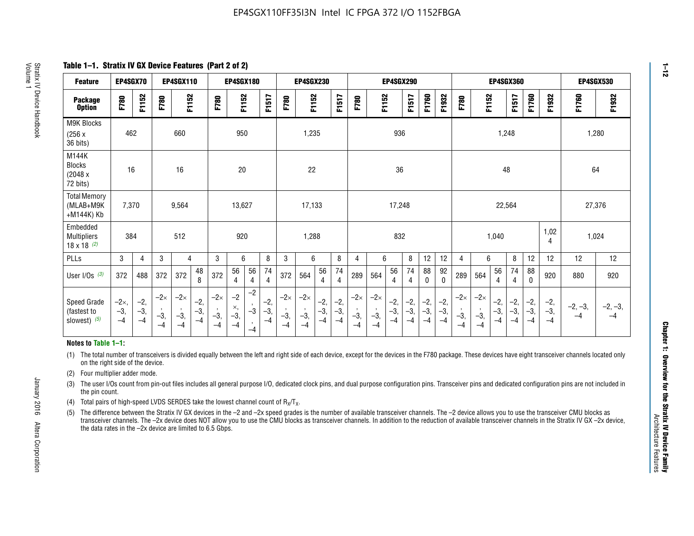**Table 1–1. Stratix IV GX Device Features (Part 2 of 2)**

| <b>Feature</b>                                       | EP4SGX70                |                        |                             | <b>EP4SGX110</b>            |                      |                             | <b>EP4SGX180</b>          |                      |                        |                             | <b>EP4SGX230</b>            |                      |                      |                            |                             | EP4SGX290              |                      |                      |                        |                             |                             |                        | <b>EP4SGX360</b>      |                      |                        | <b>EP4SGX530</b>  |                 |
|------------------------------------------------------|-------------------------|------------------------|-----------------------------|-----------------------------|----------------------|-----------------------------|---------------------------|----------------------|------------------------|-----------------------------|-----------------------------|----------------------|----------------------|----------------------------|-----------------------------|------------------------|----------------------|----------------------|------------------------|-----------------------------|-----------------------------|------------------------|-----------------------|----------------------|------------------------|-------------------|-----------------|
| <b>Package</b><br><b>Option</b>                      | F780                    | F1152                  | F780                        | F1152                       |                      | F780                        | F1152                     |                      | F1517                  | F780                        | F1152                       |                      | F1517                | F780                       | F1152                       |                        | F1517                | F1760                | F1932                  | F780                        | F1152                       |                        | F1517                 | F1760                | F1932                  | F1760             | F1932           |
| M9K Blocks<br>(256x)<br>36 bits)                     | 462                     |                        |                             | 660                         |                      |                             | 950                       |                      |                        |                             | 1,235                       |                      |                      |                            |                             | 936                    |                      |                      |                        |                             |                             | 1,248                  |                       |                      |                        |                   | 1,280           |
| M144K<br><b>Blocks</b><br>(2048 x<br>72 bits)        | 16                      |                        |                             | 16                          |                      |                             | 20                        |                      |                        |                             | 22                          |                      |                      |                            |                             | 36                     |                      |                      |                        |                             |                             | 48                     |                       |                      |                        | 64                |                 |
| <b>Total Memory</b><br>(MLAB+M9K<br>+M144K) Kb       | 7,370                   |                        |                             | 9,564                       |                      |                             | 13,627                    |                      |                        |                             | 17,133                      |                      |                      |                            |                             | 17,248                 |                      |                      |                        |                             |                             | 22,564                 |                       |                      |                        | 27,376            |                 |
| Embedded<br><b>Multipliers</b><br>$18 \times 18$ (2) | 384                     |                        |                             | 512                         |                      |                             | 920                       |                      |                        |                             | 1,288                       |                      |                      |                            |                             | 832                    |                      |                      |                        |                             |                             | 1,040                  |                       |                      | 1,02<br>4              | 1,024             |                 |
| PLLs                                                 | 3                       | $\overline{4}$         | 3                           | 4                           |                      | 3                           | 6                         |                      | 8                      | 3                           | 6                           |                      | 8                    | 4                          | 6                           |                        | 8                    | 12                   | 12                     | 4                           | 6                           |                        | 8                     | 12                   | 12                     | 12                | 12              |
| User $I/Os$ (3)                                      | 372                     | 488                    | 372                         | 372                         | 48<br>8              | 372                         | 56<br>4                   | 56<br>4              | 74<br>4                | 372                         | 564                         | 56<br>$\overline{4}$ | 74<br>$\overline{4}$ | 289                        | 564                         | 56<br>4                | 74<br>4              | 88<br>0              | 92<br>$\mathbf 0$      | 289                         | 564                         | 56<br>4                | 74<br>4               | 88<br>$\mathbf{0}$   | 920                    | 880               | 920             |
| Speed Grade<br>(fastest to<br>slowest) (5)           | $-2x,$<br>$-3,$<br>$-4$ | $-2,$<br>$-3,$<br>$-4$ | $-2\times$<br>$-3,$<br>$-4$ | $-2\times$<br>$-3,$<br>$-4$ | $-2,$<br>-3,<br>$-4$ | $-2\times$<br>$-3,$<br>$-4$ | $-2$<br>×,<br>$-3,$<br>-4 | $-2$<br>$-3$<br>$-4$ | $-2,$<br>$-3,$<br>$-4$ | $-2\times$<br>$-3,$<br>$-4$ | $-2\times$<br>$-3,$<br>$-4$ | $-2,$<br>-3,<br>$-4$ | $-2,$<br>-3,<br>$-4$ | $-2\times$<br>$-3$<br>$-4$ | $-2\times$<br>$-3,$<br>$-4$ | $-2,$<br>$-3,$<br>$-4$ | $-2,$<br>-3,<br>$-4$ | $-2,$<br>-3,<br>$-4$ | $-2,$<br>$-3,$<br>$-4$ | $-2\times$<br>$-3,$<br>$-4$ | $-2\times$<br>$-3,$<br>$-4$ | $-2,$<br>$-3,$<br>$-4$ | $-2,$<br>$-3$<br>$-4$ | $-2,$<br>-3,<br>$-4$ | $-2,$<br>$-3,$<br>$-4$ | $-2, -3,$<br>$-4$ | $-2, -3,$<br>-4 |

#### **Notes to Table 1–1:**

(1) The total number of transceivers is divided equally between the left and right side of each device, except for the devices in the F780 package. These devices have eight transceiver channels located only on the right side of the device.

- (2) Four multiplier adder mode.
- (3) The user I/Os count from pin-out files includes all general purpose I/O, dedicated clock pins, and dual purpose configuration pins. Transceiver pins and dedicated configuration pins are not included in the pin count.
- (4) Total pairs of high-speed LVDS SERDES take the lowest channel count of  $R_X/T_X$ .
- (5) The difference between the Stratix IV GX devices in the –2 and –2x speed grades is the number of available transceiver channels. The –2 device allows you to use the transceiver CMU blocks as transceiver channels. The –2x device does NOT allow you to use the CMU blocks as transceiver channels. In addition to the reduction of available transceiver channels in the Stratix IV GX –2x device, the data rates in the –2x device are limited to 6.5 Gbps.

**1–12**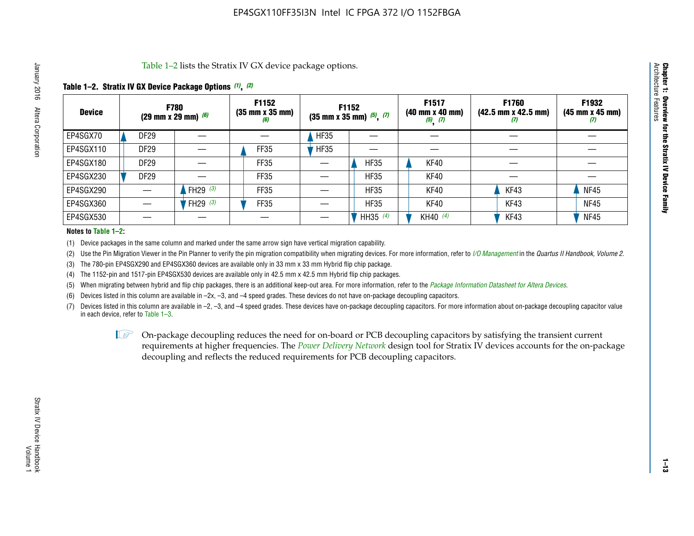Table 1–2 lists the Stratix IV GX device package options.

## **Table 1–2. Stratix IV GX Device Package Options** *(1)***,** *(2)*

| <b>Device</b> |                  | <b>F780</b><br>(29 mm x 29 mm) $(6)$ | F1152<br>$(35 \, \text{mm} \times 35 \, \text{mm})$<br>(6) |             | F1152<br>$(35$ mm x 35 mm) $(5)$ , $(7)$ | F1517<br>(40 mm x 40 mm)<br>$(5)$ $(7)$ | F1760<br>$(42.5 \text{ mm} \times 42.5 \text{ mm})$<br>‴ | F1932<br>$(45 \, \text{mm} \times 45 \, \text{mm})$<br>$\boldsymbol{U}$ |
|---------------|------------------|--------------------------------------|------------------------------------------------------------|-------------|------------------------------------------|-----------------------------------------|----------------------------------------------------------|-------------------------------------------------------------------------|
| EP4SGX70      | DF <sub>29</sub> |                                      |                                                            | <b>HF35</b> |                                          |                                         |                                                          |                                                                         |
| EP4SGX110     | <b>DF29</b>      |                                      | <b>FF35</b>                                                | <b>HF35</b> |                                          |                                         |                                                          |                                                                         |
| EP4SGX180     | <b>DF29</b>      |                                      | FF35                                                       |             | <b>HF35</b>                              | KF40                                    |                                                          |                                                                         |
| EP4SGX230     | <b>DF29</b>      |                                      | FF35                                                       |             | <b>HF35</b>                              | KF40                                    |                                                          |                                                                         |
| EP4SGX290     |                  | FH29 $(3)$                           | <b>FF35</b>                                                |             | <b>HF35</b>                              | KF40                                    | KF43                                                     | <b>NF45</b>                                                             |
| EP4SGX360     |                  | FH29 $(3)$                           | FF35                                                       |             | <b>HF35</b>                              | KF40                                    | KF43                                                     | <b>NF45</b>                                                             |
| EP4SGX530     |                  |                                      |                                                            |             | HH35 $(4)$                               | KH40 (4)                                | KF43                                                     | <b>NF45</b>                                                             |

#### **Notes to Table 1–2:**

(1) Device packages in the same column and marked under the same arrow sign have vertical migration capability.

(2) Use the Pin Migration Viewer in the Pin Planner to verify the pin migration compatibility when migrating devices. For more information, refer to *[I/O Management](http://www.altera.com/literature/hb/qts/qts_qii52013.pdf)* in the *Quartus II Handbook, Volume 2*.

(3) The 780-pin EP4SGX290 and EP4SGX360 devices are available only in 33 mm x 33 mm Hybrid flip chip package.

(4) The 1152-pin and 1517-pin EP4SGX530 devices are available only in 42.5 mm x 42.5 mm Hybrid flip chip packages.

(5) When migrating between hybrid and flip chip packages, there is an additional keep-out area. For more information, refer to the *[Package Information Datasheet for Altera Devices](http://www.altera.com/literature/ds/dspkg.pdf)*.

(6) Devices listed in this column are available in –2x, –3, and –4 speed grades. These devices do not have on-package decoupling capacitors.

(7) Devices listed in this column are available in –2, –3, and –4 speed grades. These devices have on-package decoupling capacitors. For more information about on-package decoupling capacitor value in each device, refer to Table 1–3.

 $\mathbb{L}$ s On-package decoupling reduces the need for on-board or PCB decoupling capacitors by satisfying the transient current requirements at higher frequencies. The *[Power Delivery Network](http://www.altera.com/literature/ug/pdn_tool_stxiv.zip)* design tool for Stratix IV devices accounts for the on-package decoupling and reflects the reduced requirements for PCB decoupling capacitors.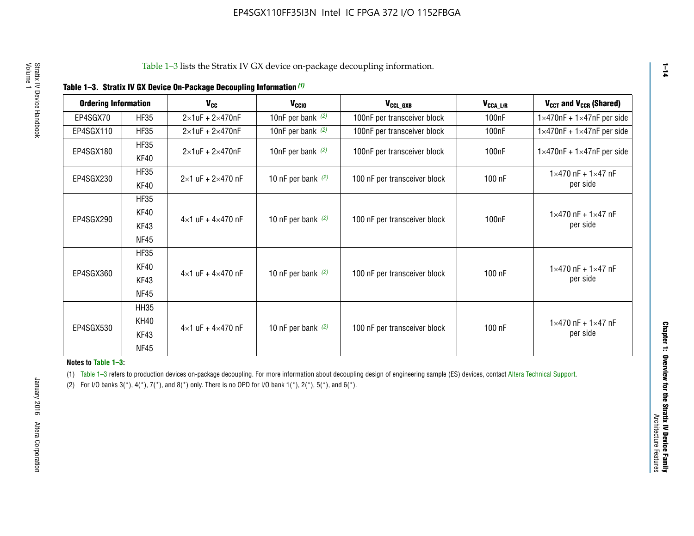|  |  | Table 1-3. Stratix IV GX Device On-Package Decoupling Information (1) |  |  |
|--|--|-----------------------------------------------------------------------|--|--|
|--|--|-----------------------------------------------------------------------|--|--|

| <b>Ordering Information</b> |                     | <b>V<sub>cc</sub></b>               | V <sub>ccio</sub>    | V <sub>CCL GXB</sub>         | V <sub>CCA_L/R</sub> | V <sub>CCT</sub> and V <sub>CCR</sub> (Shared)   |
|-----------------------------|---------------------|-------------------------------------|----------------------|------------------------------|----------------------|--------------------------------------------------|
| EP4SGX70                    | <b>HF35</b>         | $2\times1$ uF + $2\times470$ nF     | 10nF per bank $(2)$  | 100nF per transceiver block  | 100 <sub>n</sub> F   | $1 \times 470$ nF + $1 \times 47$ nF per side    |
| EP4SGX110                   | <b>HF35</b>         | $2\times1$ uF + $2\times470$ nF     | 10nF per bank $(2)$  | 100nF per transceiver block  | 100 <sub>n</sub> F   | $1\times470$ nF + $1\times47$ nF per side        |
| EP4SGX180                   | <b>HF35</b><br>KF40 | $2\times1$ uF + $2\times470$ nF     | 10nF per bank $(2)$  | 100nF per transceiver block  | 100 <sub>n</sub> F   | $1 \times 470$ nF + $1 \times 47$ nF per side    |
| EP4SGX230                   | <b>HF35</b><br>KF40 | $2 \times 1$ uF + $2 \times 470$ nF | 10 nF per bank $(2)$ | 100 nF per transceiver block | 100 nF               | $1 \times 470$ nF + $1 \times 47$ nF<br>per side |
|                             | <b>HF35</b><br>KF40 |                                     |                      |                              |                      | $1 \times 470$ nF + $1 \times 47$ nF             |
| EP4SGX290                   | KF43<br><b>NF45</b> | $4 \times 1$ uF + $4 \times 470$ nF | 10 nF per bank $(2)$ | 100 nF per transceiver block | 100nF                | per side                                         |
|                             | <b>HF35</b><br>KF40 |                                     |                      |                              |                      | $1 \times 470$ nF + $1 \times 47$ nF             |
| EP4SGX360                   | KF43<br><b>NF45</b> | $4 \times 1$ uF + $4 \times 470$ nF | 10 nF per bank $(2)$ | 100 nF per transceiver block | 100 nF               | per side                                         |
|                             | <b>HH35</b>         |                                     |                      |                              |                      |                                                  |
| EP4SGX530                   | <b>KH40</b><br>KF43 | $4 \times 1$ uF + $4 \times 470$ nF | 10 nF per bank $(2)$ | 100 nF per transceiver block | 100 nF               | $1 \times 470$ nF + $1 \times 47$ nF<br>per side |
|                             | <b>NF45</b>         |                                     |                      |                              |                      |                                                  |

**Notes to Table 1–3:**

(1) Table 1-3 refers to production devices on-package decoupling. For more information about decoupling design of engineering sample (ES) devices, contact [Altera Technical Support](http://mysupport.altera.com/eservice/login.asp).

(2) For I/O banks  $3(*)$ ,  $4(*)$ ,  $7(*)$ , and  $8(*)$  only. There is no OPD for I/O bank  $1(*)$ ,  $2(*)$ ,  $5(*)$ , and  $6(*)$ .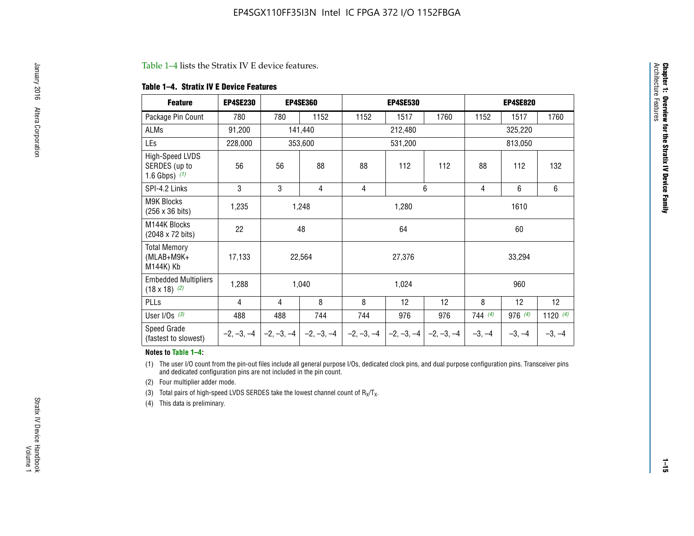#### Table 1–4 lists the Stratix IV E device features.

#### **Table 1–4. Stratix IV E Device Features**

| <b>Feature</b>                                      | <b>EP4SE230</b> |     | <b>EP4SE360</b>                        |              | <b>EP4SE530</b> |              |          | <b>EP4SE820</b> |            |
|-----------------------------------------------------|-----------------|-----|----------------------------------------|--------------|-----------------|--------------|----------|-----------------|------------|
| Package Pin Count                                   | 780             | 780 | 1152                                   | 1152         | 1517            | 1760         | 1152     | 1517            | 1760       |
| ALMs                                                | 91,200          |     | 141,440                                |              | 212,480         |              |          | 325,220         |            |
| LEs                                                 | 228,000         |     | 353,600                                |              | 531,200         |              |          |                 |            |
| High-Speed LVDS<br>SERDES (up to<br>1.6 Gbps) $(1)$ | 56              | 56  | 88                                     | 88           | 112             | 112          | 88       | 112             | 132        |
| SPI-4.2 Links                                       | 3               | 3   | 4                                      | 4            |                 | 6            | 4        | 6               | 6          |
| <b>M9K Blocks</b><br>(256 x 36 bits)                | 1,235           |     | 1,248                                  |              | 1,280           |              |          | 1610            |            |
| M144K Blocks<br>(2048 x 72 bits)                    | 22              |     | 48                                     |              | 64              |              |          | 60              |            |
| <b>Total Memory</b><br>$(MLAB+M9K+$<br>M144K) Kb    | 17,133          |     | 22,564                                 |              | 27,376          |              |          | 33,294          |            |
| <b>Embedded Multipliers</b><br>$(18 \times 18)$ (2) | 1,288           |     | 1,040                                  |              | 1,024           |              |          | 960             |            |
| PLLs                                                | 4               | 4   | 8                                      | 8            | 12              | 12           | 8        | 12              | 12         |
| User I/Os $(3)$                                     | 488             | 488 | 744                                    | 744          | 976             | 976          | 744(4)   | 976 (4)         | 1120 $(4)$ |
| Speed Grade<br>(fastest to slowest)                 |                 |     | $-2, -3, -4$ $-2, -3, -4$ $-2, -3, -4$ | $-2, -3, -4$ | $-2, -3, -4$    | $-2, -3, -4$ | $-3, -4$ | $-3, -4$        | $-3, -4$   |

#### **Notes to Table 1–4:**

(1) The user I/O count from the pin-out files include all general purpose I/Os, dedicated clock pins, and dual purpose configuration pins. Transceiver pins and dedicated configuration pins are not included in the pin count.

(2) Four multiplier adder mode.

(3) Total pairs of high-speed LVDS SERDES take the lowest channel count of  $R_X/T_X$ .

(4) This data is preliminary.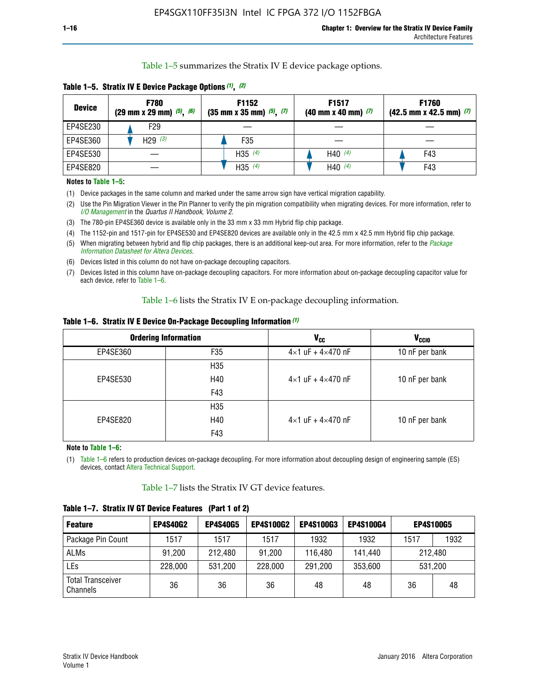Table 1–5 summarizes the Stratix IV E device package options.

| <b>Device</b> | <b>F780</b><br>$(29 \text{ mm} \times 29 \text{ mm})$ $(5)$ , $(6)$ | F1152<br>$(35 \text{ mm} \times 35 \text{ mm})$ $(5)$ $(7)$ | F <sub>1517</sub><br>$(40 \text{ mm} \times 40 \text{ mm})$ (7) | <b>F1760</b><br>$(42.5$ mm x 42.5 mm) $(7)$ |
|---------------|---------------------------------------------------------------------|-------------------------------------------------------------|-----------------------------------------------------------------|---------------------------------------------|
| EP4SE230      | F <sub>29</sub>                                                     |                                                             |                                                                 |                                             |
| EP4SE360      | H29 $(3)$                                                           | F35                                                         |                                                                 |                                             |
| EP4SE530      |                                                                     | H35 $(4)$                                                   | H40 $(4)$                                                       | F43                                         |
| EP4SE820      |                                                                     | H35 $(4)$                                                   | H40 $(4)$                                                       | F43                                         |

**Table 1–5. Stratix IV E Device Package Options** *(1)***,** *(2)*

#### **Notes to Table 1–5:**

(1) Device packages in the same column and marked under the same arrow sign have vertical migration capability.

(2) Use the Pin Migration Viewer in the Pin Planner to verify the pin migration compatibility when migrating devices. For more information, refer to *[I/O Management](http://www.altera.com/literature/hb/qts/qts_qii52013.pdf)* in the *Quartus II Handbook, Volume 2*.

(3) The 780-pin EP4SE360 device is available only in the 33 mm x 33 mm Hybrid flip chip package.

(4) The 1152-pin and 1517-pin for EP4SE530 and EP4SE820 devices are available only in the 42.5 mm x 42.5 mm Hybrid flip chip package.

(5) When migrating between hybrid and flip chip packages, there is an additional keep-out area. For more information, refer to the *[Package](http://www.altera.com/literature/ds/dspkg.pdf)  [Information Datasheet for Altera Devices](http://www.altera.com/literature/ds/dspkg.pdf)*.

(6) Devices listed in this column do not have on-package decoupling capacitors.

(7) Devices listed in this column have on-package decoupling capacitors. For more information about on-package decoupling capacitor value for each device, refer to Table 1–6.

Table 1–6 lists the Stratix IV E on-package decoupling information.

| Table 1–6. Stratix IV E Device On-Package Decoupling Information (1) |  |  |  |  |  |
|----------------------------------------------------------------------|--|--|--|--|--|
|----------------------------------------------------------------------|--|--|--|--|--|

|          | <b>Ordering Information</b> | V <sub>cc</sub>                     | <b>V<sub>CCIO</sub></b> |
|----------|-----------------------------|-------------------------------------|-------------------------|
| EP4SE360 | F <sub>35</sub>             | $4 \times 1$ uF + $4 \times 470$ nF | 10 nF per bank          |
|          | H35                         |                                     |                         |
| EP4SE530 | H40                         | $4\times1$ uF + $4\times470$ nF     | 10 nF per bank          |
|          | F43                         |                                     |                         |
|          | H35                         |                                     |                         |
| EP4SE820 | H40                         | $4\times1$ uF + $4\times470$ nF     | 10 nF per bank          |
|          | F43                         |                                     |                         |

**Note to Table 1–6:**

(1) Table 1–6 refers to production devices on-package decoupling. For more information about decoupling design of engineering sample (ES) devices, contact [Altera Technical Support](http://mysupport.altera.com/eservice/login.asp).

Table 1–7 lists the Stratix IV GT device features.

| <b>Feature</b>                       | <b>EP4S40G2</b> | <b>EP4S40G5</b> | <b>EP4S100G2</b> | <b>EP4S100G3</b> | <b>EP4S100G4</b> | <b>EP4S100G5</b> |         |
|--------------------------------------|-----------------|-----------------|------------------|------------------|------------------|------------------|---------|
| Package Pin Count                    | 1517            | 1517            | 1517             | 1932             | 1932             | 1517             | 1932    |
| <b>ALMs</b>                          | 91,200          | 212,480         | 91,200           | 116,480          | 141,440          |                  | 212.480 |
| LEs                                  | 228,000         | 531,200         | 228,000          | 291,200          | 353,600          |                  | 531,200 |
| <b>Total Transceiver</b><br>Channels | 36              | 36              | 36               | 48               | 48               | 36               | 48      |

**Table 1–7. Stratix IV GT Device Features (Part 1 of 2)**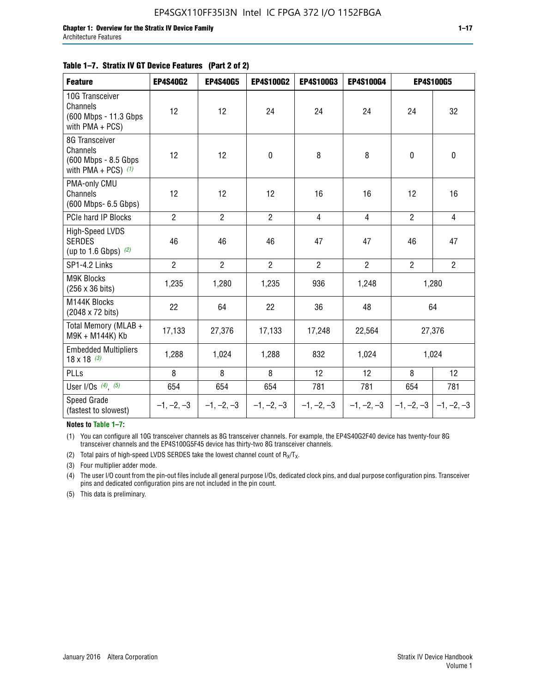| <b>Feature</b>                                                              | <b>EP4S40G2</b> | <b>EP4S40G5</b> | <b>EP4S100G2</b> | <b>EP4S100G3</b> | <b>EP4S100G4</b> |                           | <b>EP4S100G5</b> |
|-----------------------------------------------------------------------------|-----------------|-----------------|------------------|------------------|------------------|---------------------------|------------------|
| 10G Transceiver<br>Channels<br>(600 Mbps - 11.3 Gbps)<br>with $PMA + PCS$ ) | 12              | 12              | 24               | 24               | 24               | 24                        | 32               |
| 8G Transceiver<br>Channels<br>(600 Mbps - 8.5 Gbps<br>with PMA + PCS) $(1)$ | 12              | 12              | $\pmb{0}$        | 8                | 8                | $\mathbf 0$               | $\pmb{0}$        |
| PMA-only CMU<br>Channels<br>(600 Mbps- 6.5 Gbps)                            | 12              | 12              | 12               | 16               | 16               | 12                        | 16               |
| PCIe hard IP Blocks                                                         | $\overline{2}$  | $\overline{2}$  | $\overline{2}$   | 4                | $\overline{4}$   | $\overline{2}$            | 4                |
| <b>High-Speed LVDS</b><br><b>SERDES</b><br>(up to 1.6 Gbps) $(2)$           | 46              | 46              | 46               | 47               | 47               | 46                        | 47               |
| SP1-4.2 Links                                                               | $\overline{2}$  | $\overline{2}$  | $\overline{2}$   | $\overline{2}$   | $\overline{2}$   | $\overline{2}$            | $\overline{2}$   |
| <b>M9K Blocks</b><br>(256 x 36 bits)                                        | 1,235           | 1,280           | 1,235            | 936              | 1,248            |                           | 1,280            |
| M144K Blocks<br>(2048 x 72 bits)                                            | 22              | 64              | 22               | 36               | 48               |                           | 64               |
| Total Memory (MLAB +<br>M9K + M144K) Kb                                     | 17,133          | 27,376          | 17,133           | 17,248           | 22,564           |                           | 27,376           |
| <b>Embedded Multipliers</b><br>$18 \times 18^{(3)}$                         | 1,288           | 1,024           | 1,288            | 832              | 1,024            |                           | 1,024            |
| <b>PLLs</b>                                                                 | 8               | 8               | 8                | 12               | 12               | 8                         | 12               |
| User I/Os $(4)$ , $(5)$                                                     | 654             | 654             | 654              | 781              | 781              | 654                       | 781              |
| Speed Grade<br>(fastest to slowest)                                         | $-1, -2, -3$    | $-1, -2, -3$    | $-1, -2, -3$     | $-1, -2, -3$     | $-1, -2, -3$     | $-1, -2, -3$ $-1, -2, -3$ |                  |

**Notes to Table 1–7:**

(1) You can configure all 10G transceiver channels as 8G transceiver channels. For example, the EP4S40G2F40 device has twenty-four 8G transceiver channels and the EP4S100G5F45 device has thirty-two 8G transceiver channels.

(2) Total pairs of high-speed LVDS SERDES take the lowest channel count of  $R_X/T_X$ .

(3) Four multiplier adder mode.

(4) The user I/O count from the pin-out files include all general purpose I/Os, dedicated clock pins, and dual purpose configuration pins. Transceiver pins and dedicated configuration pins are not included in the pin count.

(5) This data is preliminary.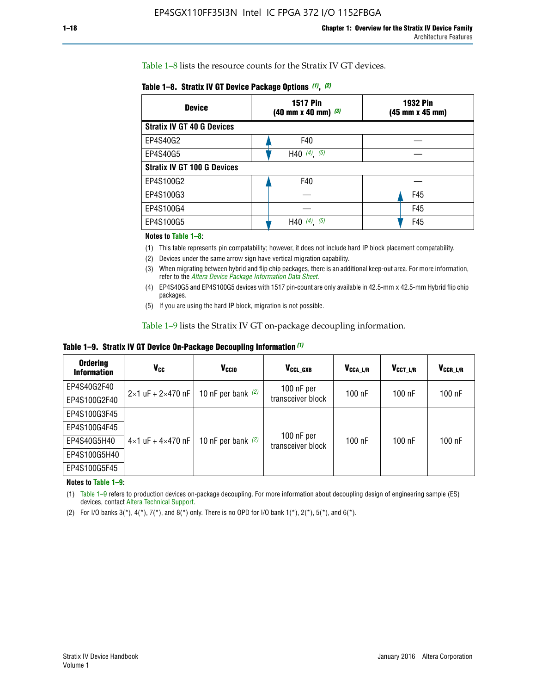Table 1–8 lists the resource counts for the Stratix IV GT devices.

| <b>Device</b>                      | <b>1517 Pin</b><br>$(40 \text{ mm} \times 40 \text{ mm})$ (3) | <b>1932 Pin</b><br>(45 mm x 45 mm) |  |
|------------------------------------|---------------------------------------------------------------|------------------------------------|--|
| <b>Stratix IV GT 40 G Devices</b>  |                                                               |                                    |  |
| EP4S40G2                           | F40                                                           |                                    |  |
| EP4S40G5                           | H40 $(4)$ , $(5)$                                             |                                    |  |
| <b>Stratix IV GT 100 G Devices</b> |                                                               |                                    |  |
| EP4S100G2                          | F40                                                           |                                    |  |
| EP4S100G3                          |                                                               | F45                                |  |
| EP4S100G4                          |                                                               | F45                                |  |
| EP4S100G5                          | H40 $(4)$ $(5)$                                               | F45                                |  |

#### **Notes to Table 1–8:**

(1) This table represents pin compatability; however, it does not include hard IP block placement compatability.

- (2) Devices under the same arrow sign have vertical migration capability.
- (3) When migrating between hybrid and flip chip packages, there is an additional keep-out area. For more information, refer to the *[Altera Device Package Information Data Sheet](http://www.altera.com/literature/ds/dspkg.pdf)*.
- (4) EP4S40G5 and EP4S100G5 devices with 1517 pin-count are only available in 42.5-mm x 42.5-mm Hybrid flip chip packages.
- (5) If you are using the hard IP block, migration is not possible.

Table 1–9 lists the Stratix IV GT on-package decoupling information.

**Table 1–9. Stratix IV GT Device On-Package Decoupling Information** *(1)*

| <b>Ordering</b><br><b>Information</b> | Vcc                                 | <b>V<sub>CCIO</sub></b> | V <sub>CCL GXB</sub>            | V <sub>CCA L/R</sub> | V <sub>CCT L/R</sub> | V <sub>CCR_L/R</sub> |
|---------------------------------------|-------------------------------------|-------------------------|---------------------------------|----------------------|----------------------|----------------------|
| EP4S40G2F40                           | $2 \times 1$ uF + $2 \times 470$ nF | 10 nF per bank $(2)$    | 100 nF per<br>transceiver block | $100$ nF             | $100$ nF             | $100$ nF             |
| EP4S100G2F40                          |                                     |                         |                                 |                      |                      |                      |
| EP4S100G3F45                          |                                     | 10 nF per bank $(2)$    | 100 nF per<br>transceiver block | $100$ nF             | $100$ nF             | $100$ nF             |
| EP4S100G4F45                          |                                     |                         |                                 |                      |                      |                      |
| EP4S40G5H40                           | $4\times1$ uF + $4\times470$ nF     |                         |                                 |                      |                      |                      |
| EP4S100G5H40                          |                                     |                         |                                 |                      |                      |                      |
| EP4S100G5F45                          |                                     |                         |                                 |                      |                      |                      |

**Notes to Table 1–9:**

(1) Table 1–9 refers to production devices on-package decoupling. For more information about decoupling design of engineering sample (ES) devices, contact [Altera Technical Support](http://mysupport.altera.com/eservice/login.asp).

(2) For I/O banks  $3(*)$ ,  $4(*)$ ,  $7(*)$ , and  $8(*)$  only. There is no OPD for I/O bank  $1(*)$ ,  $2(*)$ ,  $5(*)$ , and  $6(*)$ .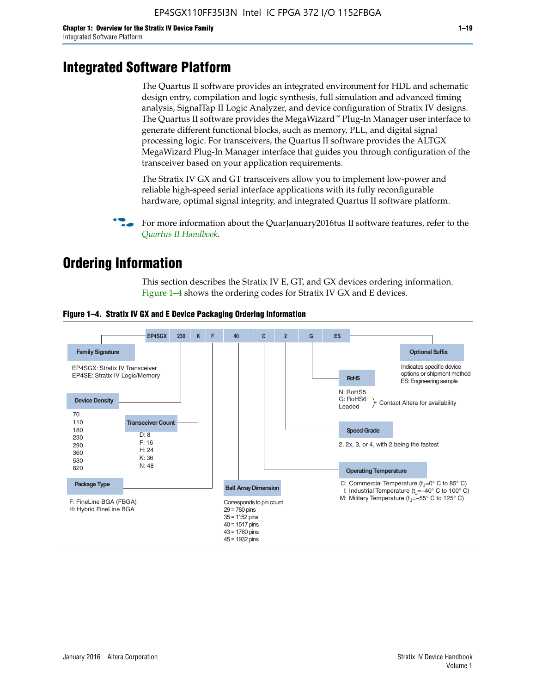# **Integrated Software Platform**

The Quartus II software provides an integrated environment for HDL and schematic design entry, compilation and logic synthesis, full simulation and advanced timing analysis, SignalTap II Logic Analyzer, and device configuration of Stratix IV designs. The Quartus II software provides the MegaWizard<sup> $M$ </sup> Plug-In Manager user interface to generate different functional blocks, such as memory, PLL, and digital signal processing logic. For transceivers, the Quartus II software provides the ALTGX MegaWizard Plug-In Manager interface that guides you through configuration of the transceiver based on your application requirements.

The Stratix IV GX and GT transceivers allow you to implement low-power and reliable high-speed serial interface applications with its fully reconfigurable hardware, optimal signal integrity, and integrated Quartus II software platform.

For more information about the QuarJanuary2016tus II software features, refer to the *[Quartus II Handbook](http://www.altera.com/literature/lit-qts.jsp)*.

# **Ordering Information**

This section describes the Stratix IV E, GT, and GX devices ordering information. Figure 1–4 shows the ordering codes for Stratix IV GX and E devices.



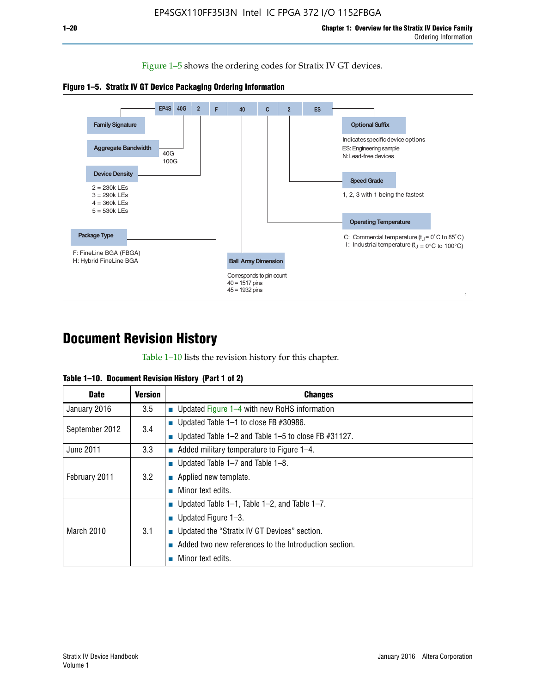Figure 1–5 shows the ordering codes for Stratix IV GT devices.





# **Document Revision History**

Table 1–10 lists the revision history for this chapter.

| <b>Date</b>       | Version | <b>Changes</b>                                         |
|-------------------|---------|--------------------------------------------------------|
| January 2016      | 3.5     | <b>Updated Figure 1–4 with new RoHS information</b>    |
| September 2012    | 3.4     | ■ Updated Table 1–1 to close FB $#30986$ .             |
|                   |         | Updated Table 1–2 and Table 1–5 to close FB $#31127$ . |
| June 2011         | 3.3     | Added military temperature to Figure 1–4.              |
| February 2011     | 3.2     | ■ Updated Table 1–7 and Table 1–8.                     |
|                   |         | $\blacksquare$ Applied new template.                   |
|                   |         | Minor text edits.                                      |
| <b>March 2010</b> | 3.1     | <b>Updated Table 1–1, Table 1–2, and Table 1–7.</b>    |
|                   |         | ■ Updated Figure $1-3$ .                               |
|                   |         | ■ Updated the "Stratix IV GT Devices" section.         |
|                   |         | Added two new references to the Introduction section.  |
|                   |         | Minor text edits.                                      |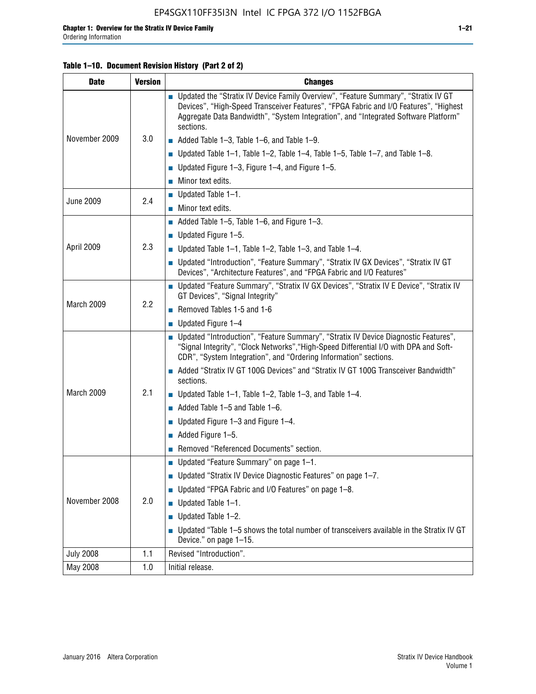## **Table 1–10. Document Revision History (Part 2 of 2)**

| <b>Date</b>      | <b>Version</b> | <b>Changes</b>                                                                                                                                                                                                                                                                    |  |
|------------------|----------------|-----------------------------------------------------------------------------------------------------------------------------------------------------------------------------------------------------------------------------------------------------------------------------------|--|
| November 2009    | 3.0            | ■ Updated the "Stratix IV Device Family Overview", "Feature Summary", "Stratix IV GT<br>Devices", "High-Speed Transceiver Features", "FPGA Fabric and I/O Features", "Highest<br>Aggregate Data Bandwidth", "System Integration", and "Integrated Software Platform"<br>sections. |  |
|                  |                | $\blacksquare$ Added Table 1-3, Table 1-6, and Table 1-9.                                                                                                                                                                                                                         |  |
|                  |                | $\blacksquare$ Updated Table 1-1, Table 1-2, Table 1-4, Table 1-5, Table 1-7, and Table 1-8.                                                                                                                                                                                      |  |
|                  |                | ■ Updated Figure 1–3, Figure 1–4, and Figure 1–5.                                                                                                                                                                                                                                 |  |
|                  |                | $\blacksquare$ Minor text edits.                                                                                                                                                                                                                                                  |  |
|                  | 2.4            | $\blacksquare$ Updated Table 1-1.                                                                                                                                                                                                                                                 |  |
| <b>June 2009</b> |                | Minor text edits.                                                                                                                                                                                                                                                                 |  |
|                  |                | $\blacksquare$ Added Table 1–5, Table 1–6, and Figure 1–3.                                                                                                                                                                                                                        |  |
|                  |                | $\blacksquare$ Updated Figure 1-5.                                                                                                                                                                                                                                                |  |
| April 2009       | 2.3            | Updated Table $1-1$ , Table $1-2$ , Table $1-3$ , and Table $1-4$ .                                                                                                                                                                                                               |  |
|                  |                | ■ Updated "Introduction", "Feature Summary", "Stratix IV GX Devices", "Stratix IV GT<br>Devices", "Architecture Features", and "FPGA Fabric and I/O Features"                                                                                                                     |  |
| March 2009       | 2.2            | ■ Updated "Feature Summary", "Stratix IV GX Devices", "Stratix IV E Device", "Stratix IV<br>GT Devices", "Signal Integrity"                                                                                                                                                       |  |
|                  |                | Removed Tables 1-5 and 1-6                                                                                                                                                                                                                                                        |  |
|                  |                | Updated Figure 1-4                                                                                                                                                                                                                                                                |  |
|                  |                | ■ Updated "Introduction", "Feature Summary", "Stratix IV Device Diagnostic Features",<br>"Signal Integrity", "Clock Networks", "High-Speed Differential I/O with DPA and Soft-<br>CDR", "System Integration", and "Ordering Information" sections.                                |  |
|                  |                | Added "Stratix IV GT 100G Devices" and "Stratix IV GT 100G Transceiver Bandwidth"<br>sections.                                                                                                                                                                                    |  |
| March 2009       | 2.1            | <b>Updated Table 1–1, Table 1–2, Table 1–3, and Table 1–4.</b>                                                                                                                                                                                                                    |  |
|                  |                | $\blacksquare$ Added Table 1-5 and Table 1-6.                                                                                                                                                                                                                                     |  |
|                  |                | ■ Updated Figure $1-3$ and Figure $1-4$ .                                                                                                                                                                                                                                         |  |
|                  |                | $\blacksquare$ Added Figure 1-5.                                                                                                                                                                                                                                                  |  |
|                  |                | Removed "Referenced Documents" section.                                                                                                                                                                                                                                           |  |
|                  |                | Updated "Feature Summary" on page 1-1.                                                                                                                                                                                                                                            |  |
| November 2008    | 2.0            | ■ Updated "Stratix IV Device Diagnostic Features" on page 1-7.                                                                                                                                                                                                                    |  |
|                  |                | Updated "FPGA Fabric and I/O Features" on page 1-8.                                                                                                                                                                                                                               |  |
|                  |                | $\blacksquare$ Updated Table 1-1.                                                                                                                                                                                                                                                 |  |
|                  |                | Updated Table 1-2.                                                                                                                                                                                                                                                                |  |
|                  |                | Updated "Table 1-5 shows the total number of transceivers available in the Stratix IV GT<br>Device." on page 1-15.                                                                                                                                                                |  |
| <b>July 2008</b> | 1.1            | Revised "Introduction".                                                                                                                                                                                                                                                           |  |
| May 2008         | 1.0            | Initial release.                                                                                                                                                                                                                                                                  |  |